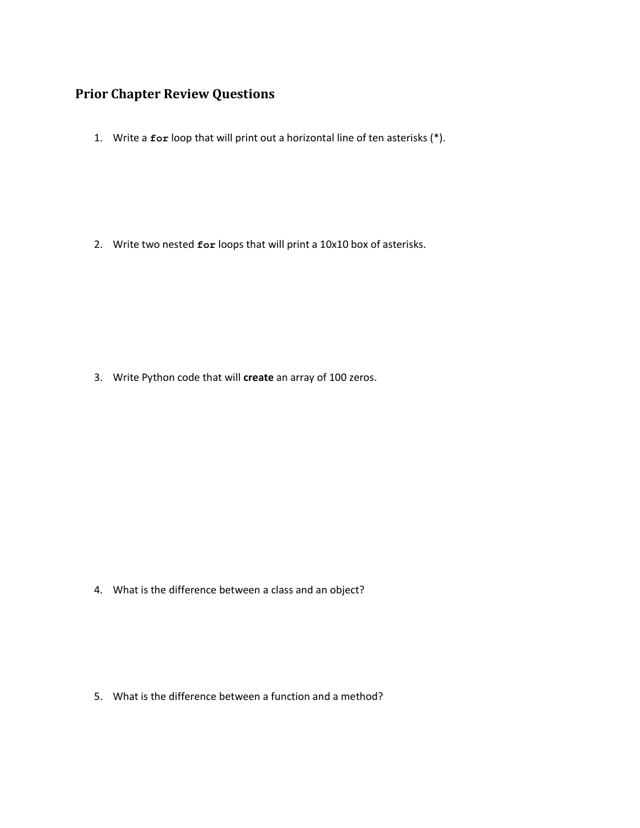## **Prior Chapter Review Questions**

1. Write a **for** loop that will print out a horizontal line of ten asterisks (\*).

2. Write two nested **for** loops that will print a 10x10 box of asterisks.

3. Write Python code that will **create** an array of 100 zeros.

4. What is the difference between a class and an object?

5. What is the difference between a function and a method?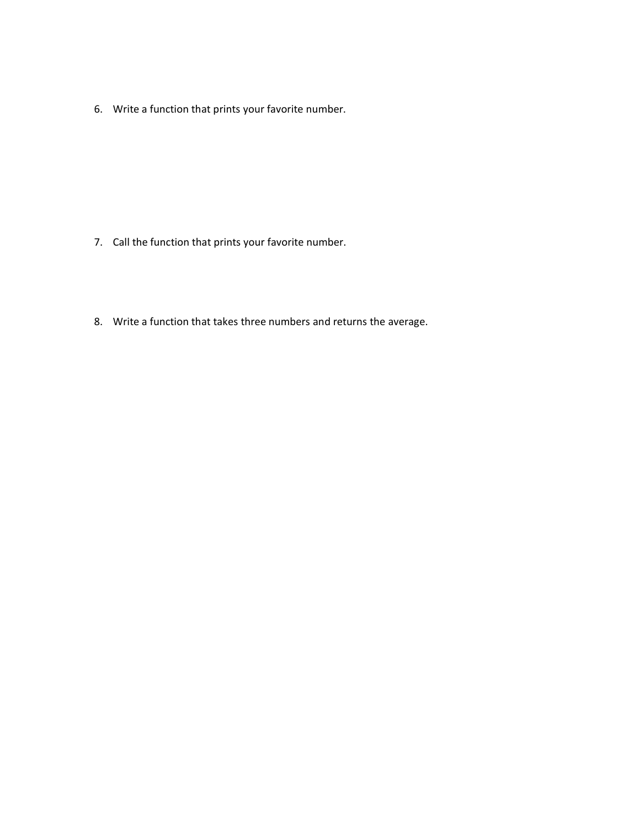6. Write a function that prints your favorite number.

- 7. Call the function that prints your favorite number.
- 8. Write a function that takes three numbers and returns the average.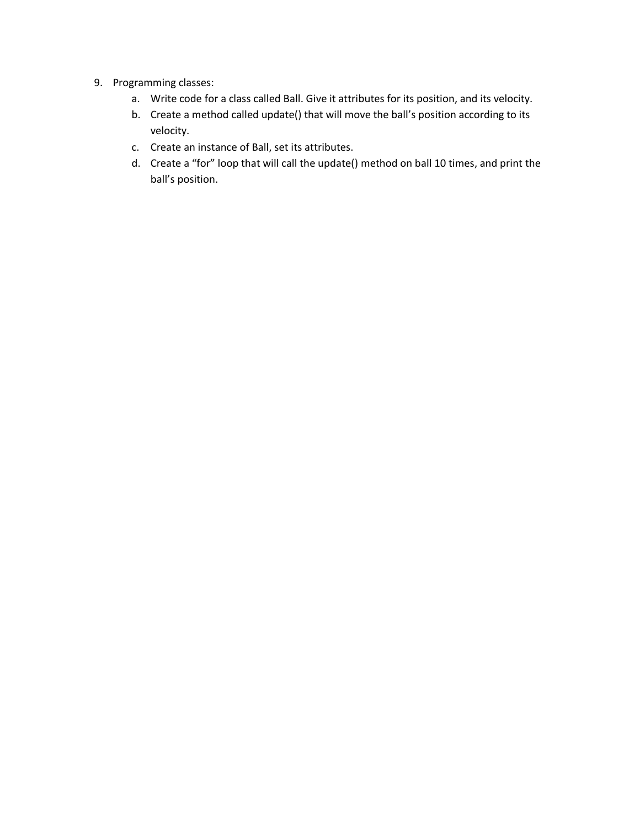- 9. Programming classes:
	- a. Write code for a class called Ball. Give it attributes for its position, and its velocity.
	- b. Create a method called update() that will move the ball's position according to its velocity.
	- c. Create an instance of Ball, set its attributes.
	- d. Create a "for" loop that will call the update() method on ball 10 times, and print the ball's position.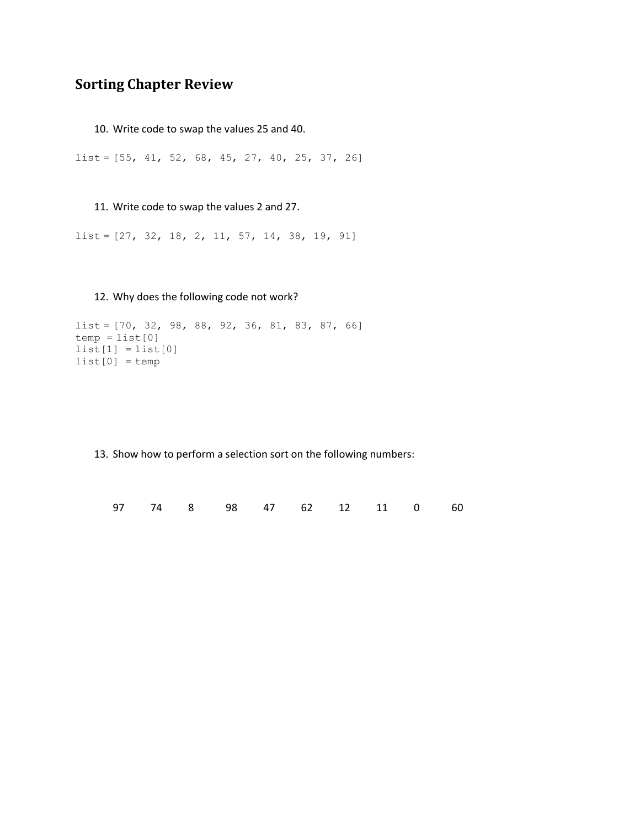## **Sorting Chapter Review**

10. Write code to swap the values 25 and 40.

list = [55, 41, 52, 68, 45, 27, 40, 25, 37, 26]

11. Write code to swap the values 2 and 27.

list = [27, 32, 18, 2, 11, 57, 14, 38, 19, 91]

12. Why does the following code not work?

```
list = [70, 32, 98, 88, 92, 36, 81, 83, 87, 66]
temp = list[0]list[1] = list[0]list[0] = temp
```
13. Show how to perform a selection sort on the following numbers:

97 74 8 98 47 62 12 11 0 60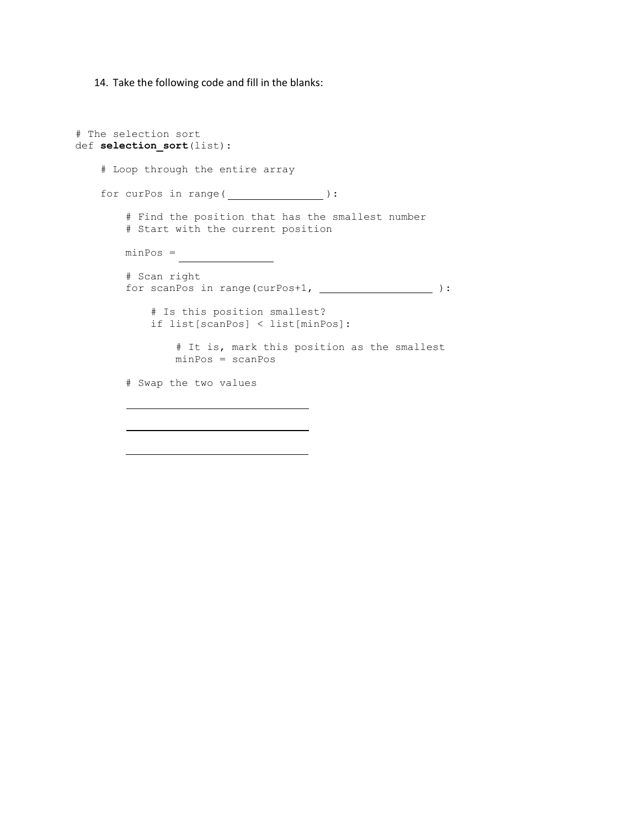14. Take the following code and fill in the blanks:

```
# The selection sort
def selection sort(list):
     # Loop through the entire array
    for curPos in range( ________________):
         # Find the position that has the smallest number
         # Start with the current position
       minPos = # Scan right
        for scanPos in range(curPos+1, ______________________):
             # Is this position smallest?
             if list[scanPos] < list[minPos]:
                 # It is, mark this position as the smallest
                minPos = scanPos
         # Swap the two values
```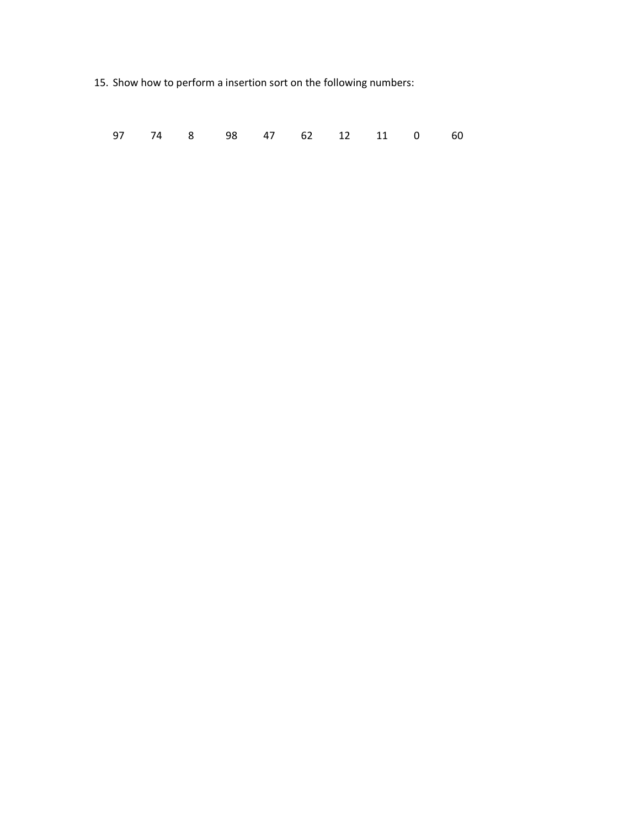15. Show how to perform a insertion sort on the following numbers:

| 97 74 8 98 47 62 12 11 0 60 |  |  |  |  |  |  |  |  |  |  |
|-----------------------------|--|--|--|--|--|--|--|--|--|--|
|-----------------------------|--|--|--|--|--|--|--|--|--|--|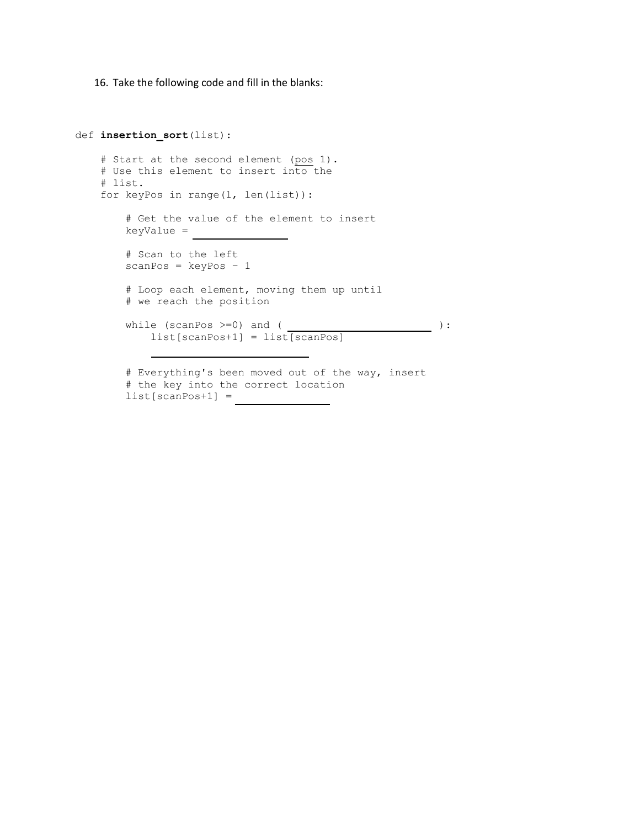16. Take the following code and fill in the blanks:

```
def insertion_sort(list):
     # Start at the second element (pos 1).
    # Use this element to insert into the
    # list.
    for keyPos in range(1, len(list)):
        # Get the value of the element to insert
        keyValue = 
        # Scan to the left
       scanPos = keyPos - 1 # Loop each element, moving them up until
        # we reach the position
while (scanPos \ge = 0) and ( list[scanPos+1] = list[scanPos]
        # Everything's been moved out of the way, insert
        # the key into the correct location
        list[scanPos+1] =
```